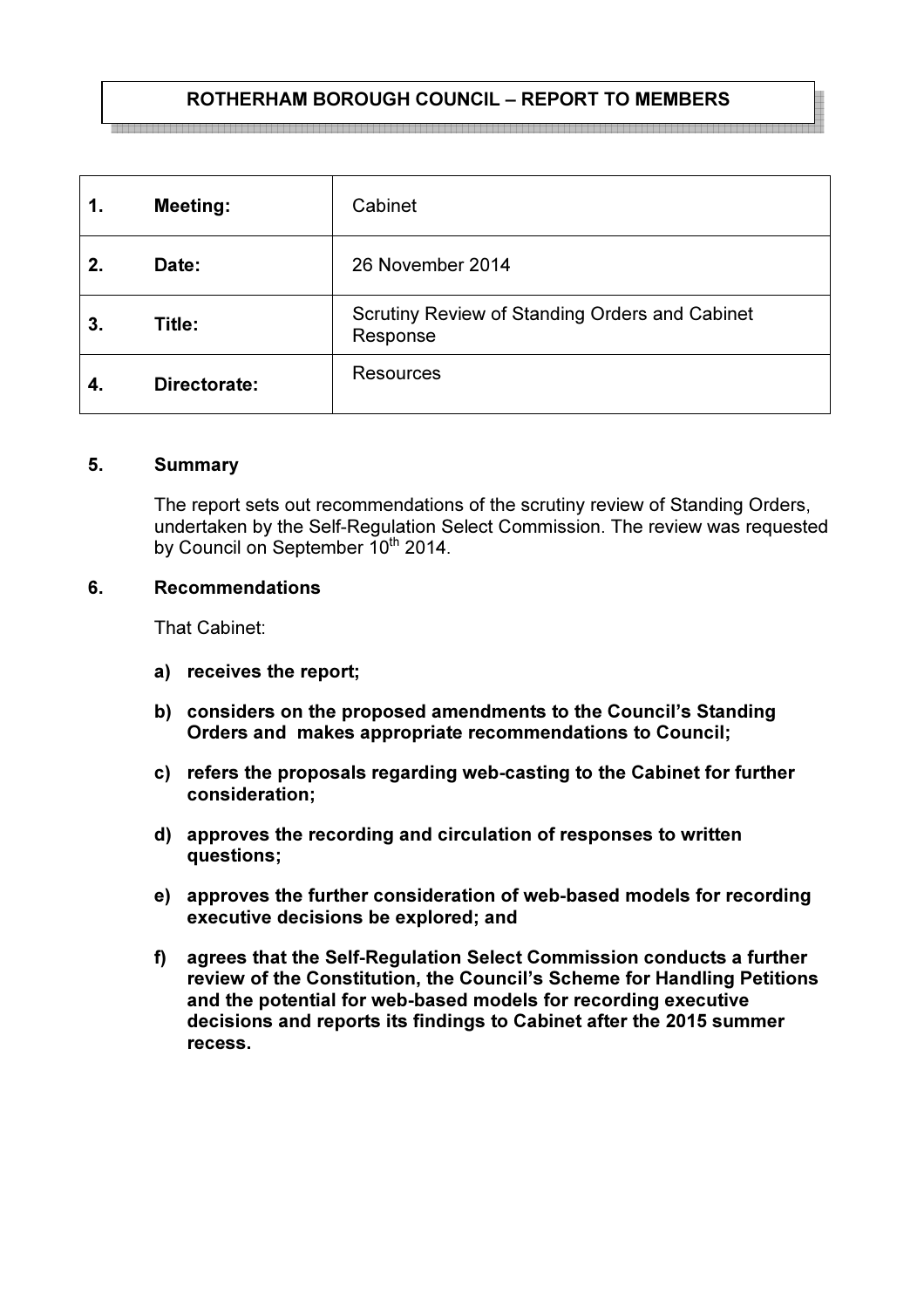# ROTHERHAM BOROUGH COUNCIL – REPORT TO MEMBERS

| 1. | <b>Meeting:</b> | Cabinet                                                    |
|----|-----------------|------------------------------------------------------------|
| 2. | Date:           | 26 November 2014                                           |
| 3. | Title:          | Scrutiny Review of Standing Orders and Cabinet<br>Response |
|    | Directorate:    | <b>Resources</b>                                           |

#### 5. Summary

The report sets out recommendations of the scrutiny review of Standing Orders, undertaken by the Self-Regulation Select Commission. The review was requested by Council on September 10<sup>th</sup> 2014.

#### 6. Recommendations

That Cabinet:

- a) receives the report;
- b) considers on the proposed amendments to the Council's Standing Orders and makes appropriate recommendations to Council;
- c) refers the proposals regarding web-casting to the Cabinet for further consideration;
- d) approves the recording and circulation of responses to written questions;
- e) approves the further consideration of web-based models for recording executive decisions be explored; and
- f) agrees that the Self-Regulation Select Commission conducts a further review of the Constitution, the Council's Scheme for Handling Petitions and the potential for web-based models for recording executive decisions and reports its findings to Cabinet after the 2015 summer recess.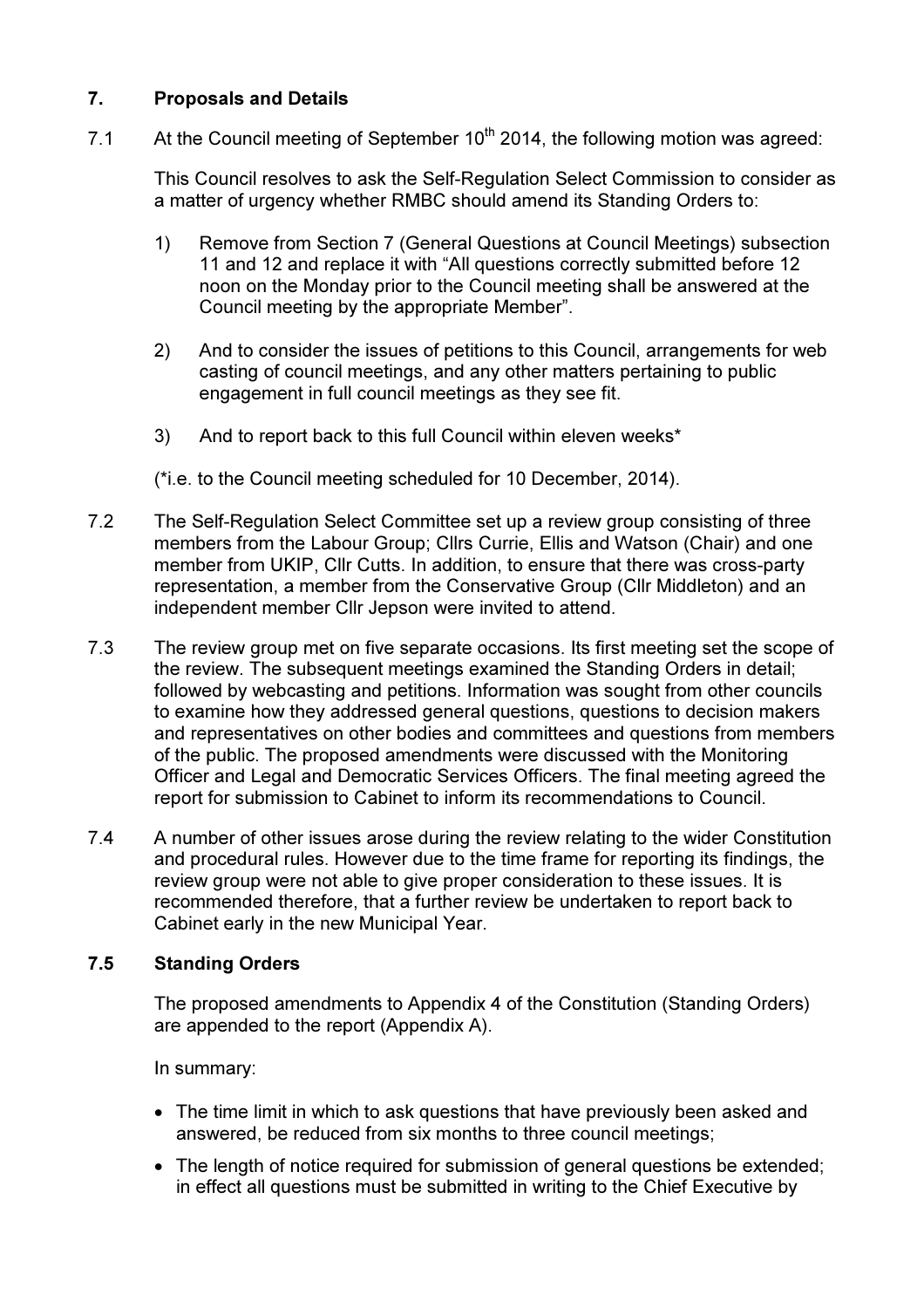# 7. Proposals and Details

7.1 At the Council meeting of September  $10^{th}$  2014, the following motion was agreed:

This Council resolves to ask the Self-Regulation Select Commission to consider as a matter of urgency whether RMBC should amend its Standing Orders to:

- 1) Remove from Section 7 (General Questions at Council Meetings) subsection 11 and 12 and replace it with "All questions correctly submitted before 12 noon on the Monday prior to the Council meeting shall be answered at the Council meeting by the appropriate Member".
- 2) And to consider the issues of petitions to this Council, arrangements for web casting of council meetings, and any other matters pertaining to public engagement in full council meetings as they see fit.
- 3) And to report back to this full Council within eleven weeks\*

(\*i.e. to the Council meeting scheduled for 10 December, 2014).

- 7.2 The Self-Regulation Select Committee set up a review group consisting of three members from the Labour Group; Cllrs Currie, Ellis and Watson (Chair) and one member from UKIP, Cllr Cutts. In addition, to ensure that there was cross-party representation, a member from the Conservative Group (Cllr Middleton) and an independent member Cllr Jepson were invited to attend.
- 7.3 The review group met on five separate occasions. Its first meeting set the scope of the review. The subsequent meetings examined the Standing Orders in detail; followed by webcasting and petitions. Information was sought from other councils to examine how they addressed general questions, questions to decision makers and representatives on other bodies and committees and questions from members of the public. The proposed amendments were discussed with the Monitoring Officer and Legal and Democratic Services Officers. The final meeting agreed the report for submission to Cabinet to inform its recommendations to Council.
- 7.4 A number of other issues arose during the review relating to the wider Constitution and procedural rules. However due to the time frame for reporting its findings, the review group were not able to give proper consideration to these issues. It is recommended therefore, that a further review be undertaken to report back to Cabinet early in the new Municipal Year.

## 7.5 Standing Orders

The proposed amendments to Appendix 4 of the Constitution (Standing Orders) are appended to the report (Appendix A).

In summary:

- The time limit in which to ask questions that have previously been asked and answered, be reduced from six months to three council meetings;
- The length of notice required for submission of general questions be extended: in effect all questions must be submitted in writing to the Chief Executive by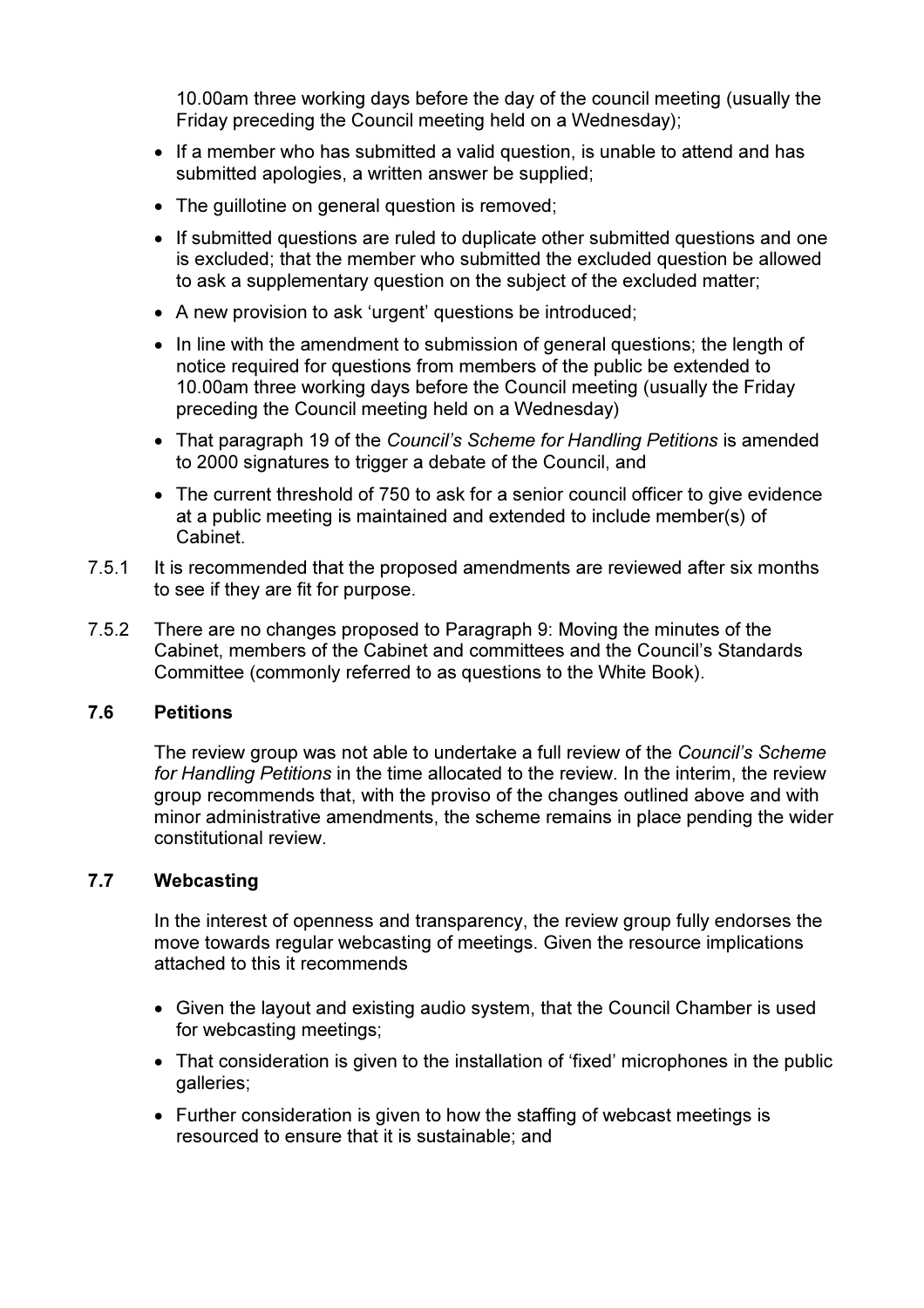10.00am three working days before the day of the council meeting (usually the Friday preceding the Council meeting held on a Wednesday);

- If a member who has submitted a valid question, is unable to attend and has submitted apologies, a written answer be supplied;
- The quillotine on general question is removed;
- If submitted questions are ruled to duplicate other submitted questions and one is excluded; that the member who submitted the excluded question be allowed to ask a supplementary question on the subject of the excluded matter;
- A new provision to ask 'urgent' questions be introduced;
- In line with the amendment to submission of general questions; the length of notice required for questions from members of the public be extended to 10.00am three working days before the Council meeting (usually the Friday preceding the Council meeting held on a Wednesday)
- That paragraph 19 of the Council's Scheme for Handling Petitions is amended to 2000 signatures to trigger a debate of the Council, and
- The current threshold of 750 to ask for a senior council officer to give evidence at a public meeting is maintained and extended to include member(s) of Cabinet.
- 7.5.1 It is recommended that the proposed amendments are reviewed after six months to see if they are fit for purpose.
- 7.5.2 There are no changes proposed to Paragraph 9: Moving the minutes of the Cabinet, members of the Cabinet and committees and the Council's Standards Committee (commonly referred to as questions to the White Book).

### 7.6 Petitions

The review group was not able to undertake a full review of the Council's Scheme for Handling Petitions in the time allocated to the review. In the interim, the review group recommends that, with the proviso of the changes outlined above and with minor administrative amendments, the scheme remains in place pending the wider constitutional review.

### 7.7 Webcasting

In the interest of openness and transparency, the review group fully endorses the move towards regular webcasting of meetings. Given the resource implications attached to this it recommends

- Given the layout and existing audio system, that the Council Chamber is used for webcasting meetings;
- That consideration is given to the installation of 'fixed' microphones in the public galleries;
- Further consideration is given to how the staffing of webcast meetings is resourced to ensure that it is sustainable; and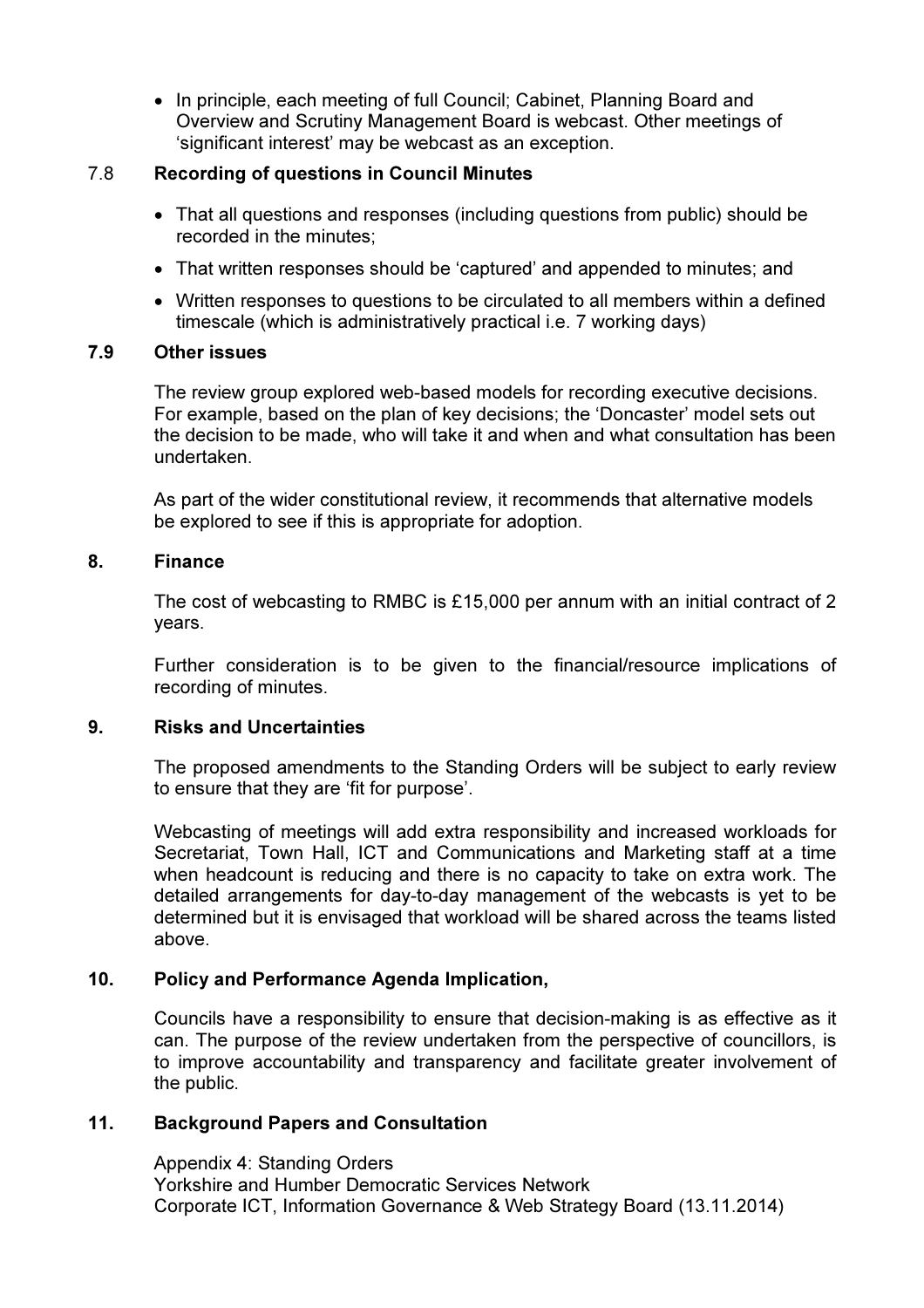• In principle, each meeting of full Council: Cabinet, Planning Board and Overview and Scrutiny Management Board is webcast. Other meetings of 'significant interest' may be webcast as an exception.

## 7.8 Recording of questions in Council Minutes

- That all questions and responses (including questions from public) should be recorded in the minutes;
- That written responses should be 'captured' and appended to minutes; and
- Written responses to questions to be circulated to all members within a defined timescale (which is administratively practical i.e. 7 working days)

### 7.9 Other issues

The review group explored web-based models for recording executive decisions. For example, based on the plan of key decisions; the 'Doncaster' model sets out the decision to be made, who will take it and when and what consultation has been undertaken.

As part of the wider constitutional review, it recommends that alternative models be explored to see if this is appropriate for adoption.

### 8. Finance

The cost of webcasting to RMBC is £15,000 per annum with an initial contract of 2 years.

Further consideration is to be given to the financial/resource implications of recording of minutes.

### 9. Risks and Uncertainties

The proposed amendments to the Standing Orders will be subject to early review to ensure that they are 'fit for purpose'.

Webcasting of meetings will add extra responsibility and increased workloads for Secretariat, Town Hall, ICT and Communications and Marketing staff at a time when headcount is reducing and there is no capacity to take on extra work. The detailed arrangements for day-to-day management of the webcasts is yet to be determined but it is envisaged that workload will be shared across the teams listed above.

## 10. Policy and Performance Agenda Implication,

Councils have a responsibility to ensure that decision-making is as effective as it can. The purpose of the review undertaken from the perspective of councillors, is to improve accountability and transparency and facilitate greater involvement of the public.

## 11. Background Papers and Consultation

Appendix 4: Standing Orders Yorkshire and Humber Democratic Services Network Corporate ICT, Information Governance & Web Strategy Board (13.11.2014)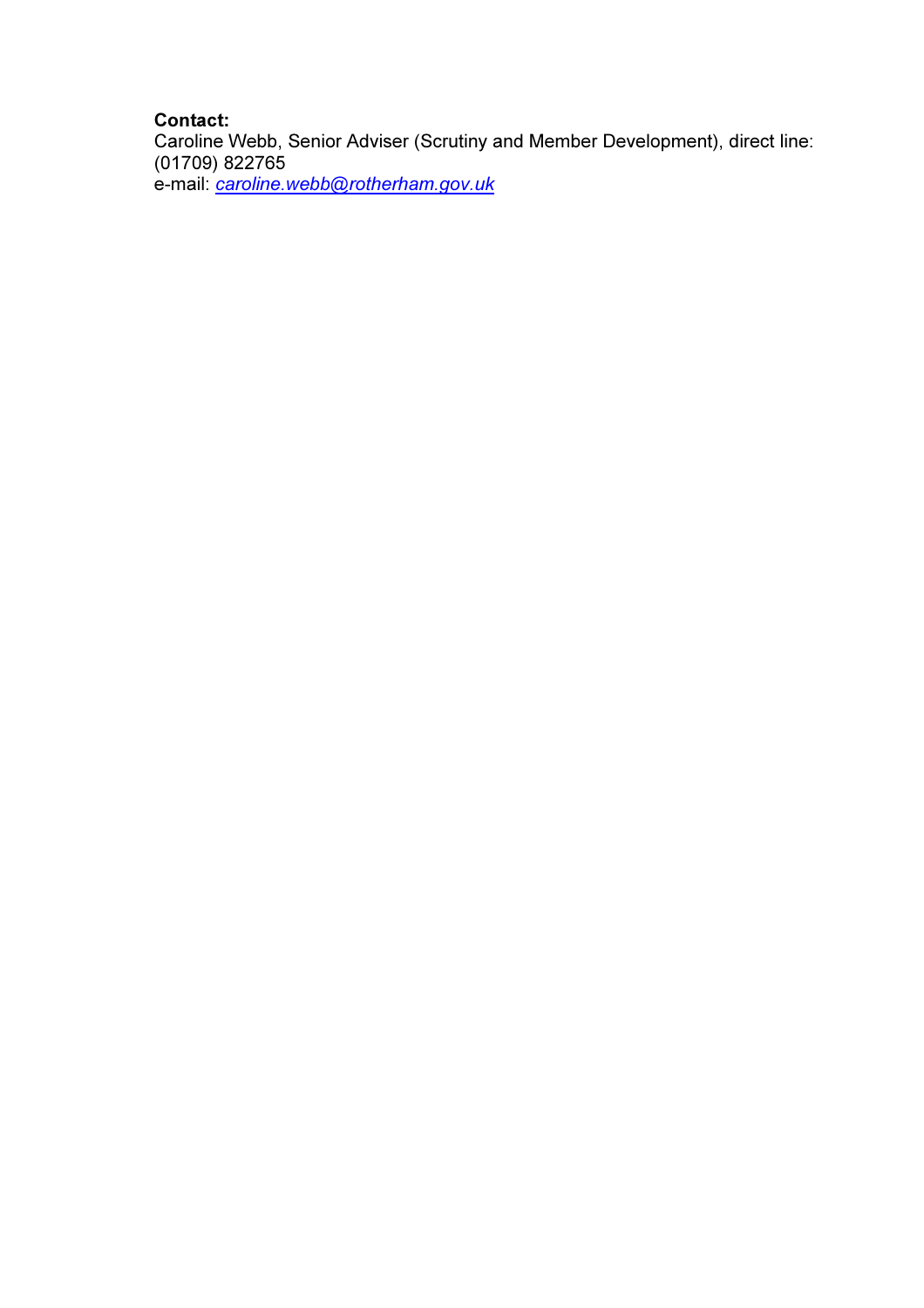## Contact:

Caroline Webb, Senior Adviser (Scrutiny and Member Development), direct line: (01709) 822765 e-mail: caroline.webb@rotherham.gov.uk